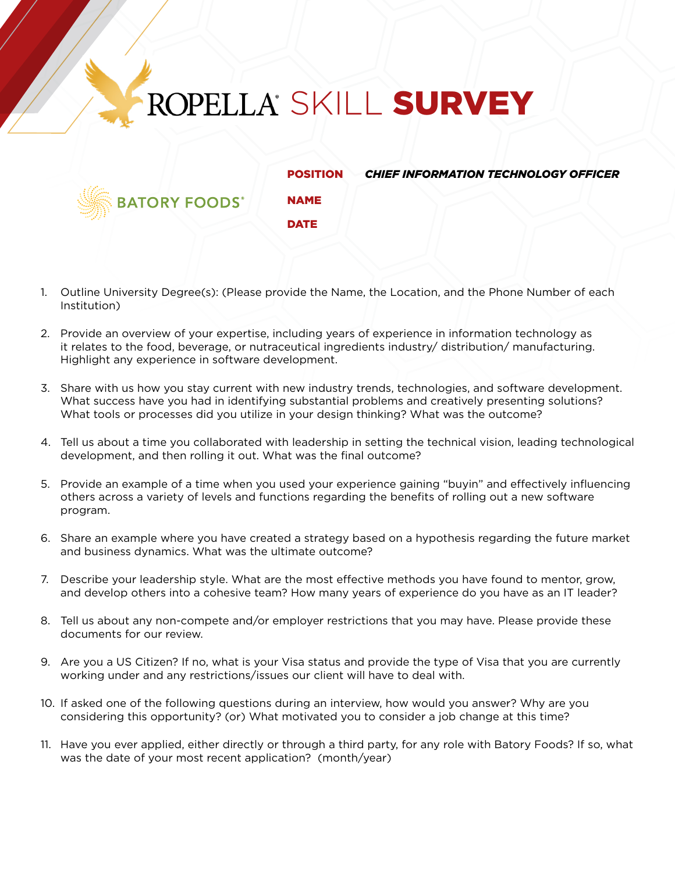## ROPELLA' SKILL SURVEY

NAME

**ATORY FOODS®** 

**DATE** 

POSITION *CHIEF INFORMATION TECHNOLOGY OFFICER*

- 1. Outline University Degree(s): (Please provide the Name, the Location, and the Phone Number of each Institution)
- 2. Provide an overview of your expertise, including years of experience in information technology as it relates to the food, beverage, or nutraceutical ingredients industry/ distribution/ manufacturing. Highlight any experience in software development.
- 3. Share with us how you stay current with new industry trends, technologies, and software development. What success have you had in identifying substantial problems and creatively presenting solutions? What tools or processes did you utilize in your design thinking? What was the outcome?
- 4. Tell us about a time you collaborated with leadership in setting the technical vision, leading technological development, and then rolling it out. What was the final outcome?
- 5. Provide an example of a time when you used your experience gaining "buyin" and effectively influencing others across a variety of levels and functions regarding the benefits of rolling out a new software program.
- 6. Share an example where you have created a strategy based on a hypothesis regarding the future market and business dynamics. What was the ultimate outcome?
- 7. Describe your leadership style. What are the most effective methods you have found to mentor, grow, and develop others into a cohesive team? How many years of experience do you have as an IT leader?
- 8. Tell us about any non-compete and/or employer restrictions that you may have. Please provide these documents for our review.
- 9. Are you a US Citizen? If no, what is your Visa status and provide the type of Visa that you are currently working under and any restrictions/issues our client will have to deal with.
- 10. If asked one of the following questions during an interview, how would you answer? Why are you considering this opportunity? (or) What motivated you to consider a job change at this time?
- 11. Have you ever applied, either directly or through a third party, for any role with Batory Foods? If so, what was the date of your most recent application? (month/year)